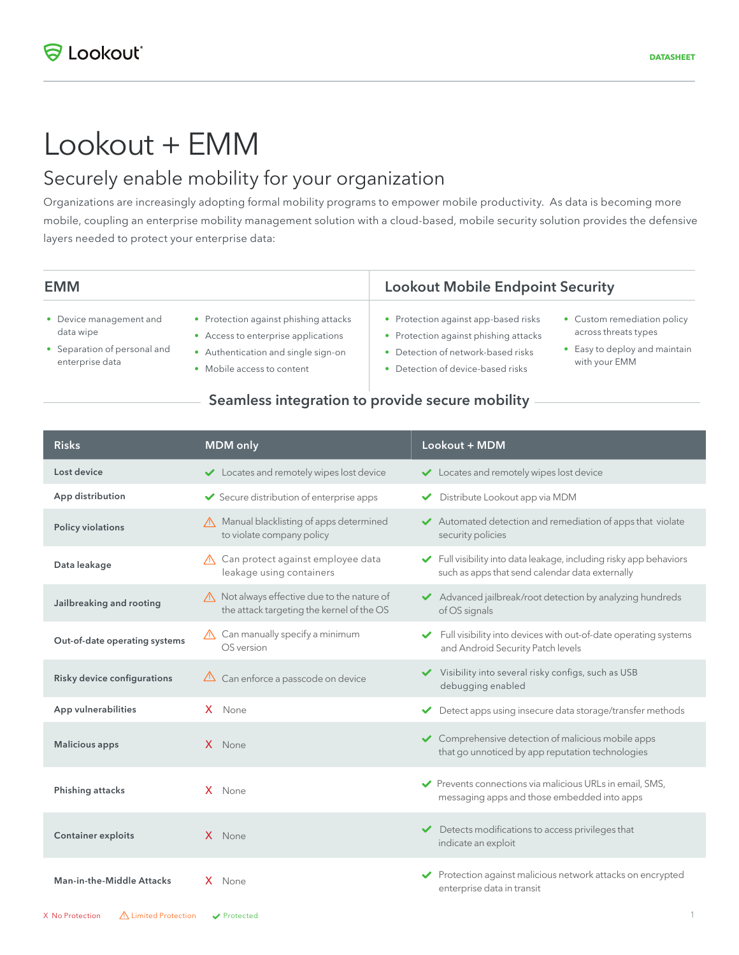# Lookout + EMM

## Securely enable mobility for your organization

Organizations are increasingly adopting formal mobility programs to empower mobile productivity. As data is becoming more mobile, coupling an enterprise mobility management solution with a cloud-based, mobile security solution provides the defensive layers needed to protect your enterprise data:

| <b>EMM</b>                                                                              |                                                                                                                                                    | <b>Lookout Mobile Endpoint Security</b>                                                                                                              |                                                                                                       |
|-----------------------------------------------------------------------------------------|----------------------------------------------------------------------------------------------------------------------------------------------------|------------------------------------------------------------------------------------------------------------------------------------------------------|-------------------------------------------------------------------------------------------------------|
| • Device management and<br>data wipe<br>• Separation of personal and<br>enterprise data | • Protection against phishing attacks<br>• Access to enterprise applications<br>Authentication and single sign-on<br>٠<br>Mobile access to content | • Protection against app-based risks<br>• Protection against phishing attacks<br>Detection of network-based risks<br>Detection of device-based risks | • Custom remediation policy<br>across threats types<br>• Easy to deploy and maintain<br>with your EMM |

## Seamless integration to provide secure mobility

| <b>Risks</b>                  | <b>MDM</b> only                                                                                    | Lookout + MDM                                                                                                       |
|-------------------------------|----------------------------------------------------------------------------------------------------|---------------------------------------------------------------------------------------------------------------------|
| Lost device                   | Locates and remotely wipes lost device                                                             | Locates and remotely wipes lost device                                                                              |
| App distribution              | Secure distribution of enterprise apps                                                             | Distribute Lookout app via MDM<br>✓                                                                                 |
| Policy violations             | Manual blacklisting of apps determined<br>to violate company policy                                | Automated detection and remediation of apps that violate<br>security policies                                       |
| Data leakage                  | △ Can protect against employee data<br>leakage using containers                                    | Full visibility into data leakage, including risky app behaviors<br>such as apps that send calendar data externally |
| Jailbreaking and rooting      | $\triangle$ Not always effective due to the nature of<br>the attack targeting the kernel of the OS | Advanced jailbreak/root detection by analyzing hundreds<br>of OS signals                                            |
| Out-of-date operating systems | $\triangle$ Can manually specify a minimum<br>OS version                                           | Full visibility into devices with out-of-date operating systems<br>and Android Security Patch levels                |
| Risky device configurations   | $\triangle$ Can enforce a passcode on device                                                       | Visibility into several risky configs, such as USB<br>debugging enabled                                             |
| App vulnerabilities           | X None                                                                                             | Detect apps using insecure data storage/transfer methods                                                            |
| <b>Malicious apps</b>         | X None                                                                                             | Comprehensive detection of malicious mobile apps<br>that go unnoticed by app reputation technologies                |
| Phishing attacks              | X None                                                                                             | ◆ Prevents connections via malicious URLs in email, SMS,<br>messaging apps and those embedded into apps             |
| <b>Container exploits</b>     | X None                                                                                             | Detects modifications to access privileges that<br>indicate an exploit                                              |
| Man-in-the-Middle Attacks     | $X$ None                                                                                           | ◆ Protection against malicious network attacks on encrypted<br>enterprise data in transit                           |